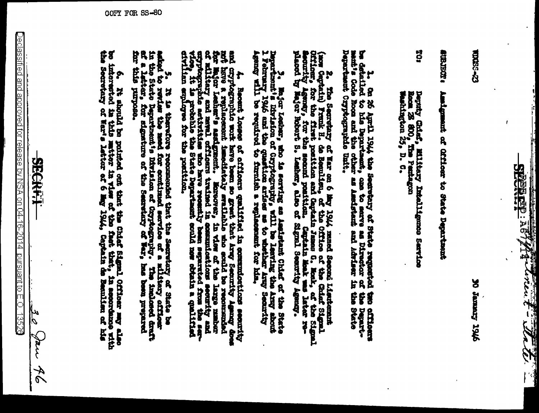SEERED : 187/1944 Towns Towns

**22-SSN2** 

9761 Greener of

**ADSTRUM** Amigment of Officer to State Department

30 Deputy Chief, Military Intelligence Service<br>Rocm 28 800, The Pentagon<br>Weshington 25, D. C.

be detailed to his Department, one to serve as Director of the Depart-ment; and the Code Room and the other as Assistant and Advisor in the State Department Cryptographic Unit. ۲ on 25 Amil 1944 the Secretary of State requested the officers

2. The Secretary of Nav 1944 mund Second Lientemant (now Cordor in the Control Cordor in the Control Cordor in the Control Control Control Control Control Control Control Control Control Control Control Control Control Con

2. Bejor Lesbar, she is serving as Assistant Chiaf of the State.<br>I February 1946 and the quention arises as to whether the Army shock.<br>I February 1946 and the quention arises as to whether Army Searrity<br>Agenty will be requ

4. Become losses of efflowrs qualified in exmanderians security and critical and contribute at the contribution of replacement in the beam become a replacements and modified in the contribution of the contribution of the c

and it is the therefore recommended that the Secretary of State be a line of the state of the State be and the medium for continued service of a military officer in the line of the state position of the continuous of the c cerciani erre aus-

6. It should be homing as primed out that the Chair Length Chines any old out out of the property of Hint and the model of the state of the state of the state of the state of the state of the state of the state of the stat

 $\frac{1}{\sqrt{2}}$ **Sarr** 46

 $\overline{\text{Declasoffed} }$  and approved for release by NSA on 04-16-2014. pursuant to E.O. 13526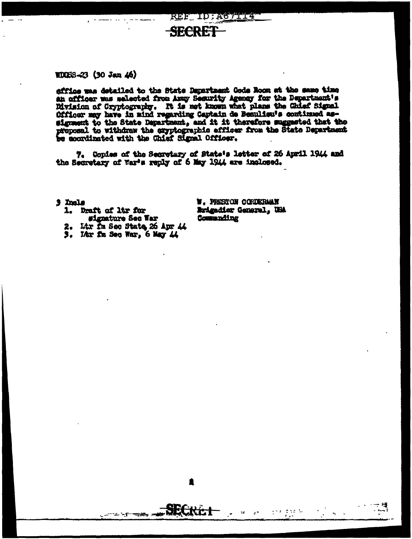SECREI

## $10083 - 23$  (30 Jan 46)

effice was detailed to the State Department Gods Room at the same time an officer was selected from Army Security Agency for the Department's Myision of Cryptography. It is not known what plans the Chief Signel Officer may have in mind regarding Captain de Beaulieu's continued assignment to the State Department, and it it therefore suggested that the proposal to withdraw the cryptographic efficer from the State Department be coordinated with the Chief Signal Officer.

7. Copies of the Secretary of State's letter of 26 April 1944 and the Secretary of War's reply of 6 May 1944 are inclosed.

3 Incls

- 1. Draft of ltr for #ignature Sec War
- 2. Ltr Im Sec State 26 Apr 44
- 3. Litr fm Sec War, 6 May 44

- - - - - -

- 安全。

**W. PRESTON CORDERMAN** Arigadier General, USA Commanding

 $\frac{1}{2} \leq 2 \leq 2 \leq 2$  . In

 $\tau\tau$  $\Delta$   $\overline{\Delta}$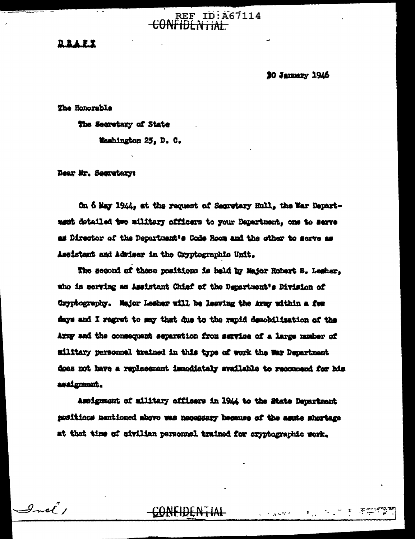## **REF ID:A67114**  $-$ <del>CONFIDENTIAL</del>

<u> D. R. A. P. T</u>

30 January 1946

 $\mathbf{F}_{\text{max}}$ 

**Construction** 

The Honorable

The Secretary of State

Washington 25, D. C.

Dear Mr. Secretary:

Incl.  $\int$ 

On 6 May 1944, at the request of Segretary Hull, the War Department detailed two military officers to your Department, one to serve as Director of the Department's Code Room and the other to serve as Assistant and Adviser in the Cryptographic Unit.

The second of these positions is held by Major Robert S. Legher. who is serving as Assistant Chief of the Department's Division of Gryptography. Major Leaher will be leaving the Army within a few days and I regret to say that due to the rapid demobilization of the Army and the consequent separation from service of a large musher of military personnel trained in this type of work the Way Department does not have a replacement immediately available to recommend for his assignment.

Assignment of military officers in 1944 to the State Department nositions mentioned above was necessary because of the agute shortage at that time of civilian personnel trained for cryptographic work.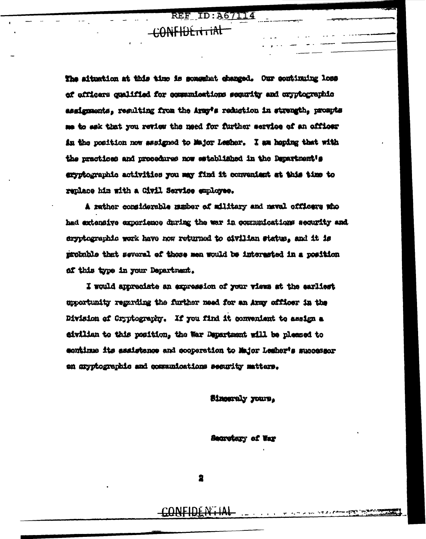**REF ID: A67114** 

## CONFIDENTIAL

The situation at this time is somewhat changed. Our continuing loss of officers qualified for communications segurity and cryptographic assignments, resulting from the Army's reduction in strength, prompts me to eak that you review the need for further service of an officer in the position now assigned to Major Lesher. I am hoping that with the practices and procedures now established in the Department's envotographic activities you may find it convenient at this time to renlace him with a Civil Service employee.

A rather considerable mamber of military and naval officers who had extensive experience during the war in communications security and eryptographic work have now returned to civilian status, and it is probable that several of those men would be interested in a position af this type in your Department.

I would appreciate an expression of your views at the earliest upportunity regarding the further need for an Army officer in the Division of Cryptography. If you find it convenient to assign a eivilian to this position, the War Department will be pleased to continue its assistance and cooperation to Major Lesher's successor en aryptographic and communications security matters.

Sinceraly yours,

Secretary of War

2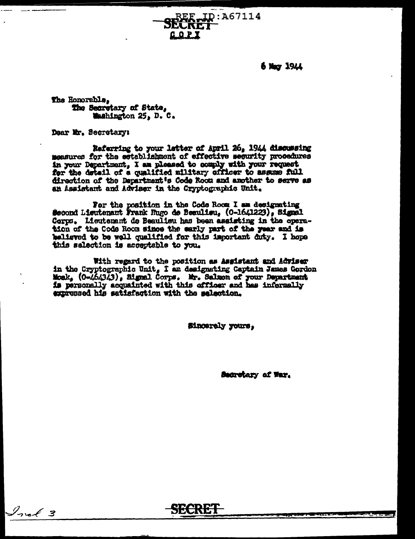SECRET ID: A67114

 $6$  May 1944

The Honorable, The Secretary of State, Washington 25, D. C.

Dear Mr. Secretary:

 $\mathcal{I}_{\text{ref}}$  3

Referring to your letter of April 26, 1944 discussing measures for the establishment of effective security procedures in your Department, I am pleased to comply with your request for the detail of a qualified military officer to assume full direction of the Department's Code Room and another to serve as an Assistant and Adviser in the Cryptographic Unit.

**GOPI** 

For the position in the Code Room I am designating<br>Second Lisutenant Frank Rugo de Beaulieu, (0-1641223), Signal Corps. Lieutenant de Beaulieu has been assisting in the operation of the Code Room since the early part of the year and is believed to be well qualified for this important duty. I hope this salection is acceptable to you.

With regard to the position as Asgistant and Adviser in the Cryptographic Unit, I am designating Captain James Gordon<br>Mosk, (0-464343), Signal Corps. Mr. Salmon of your Department<br>18 personally acquainted with this officer and has informally expressed his satisfaction with the selection.

**Sincerely yours.** 

Secretary of War.